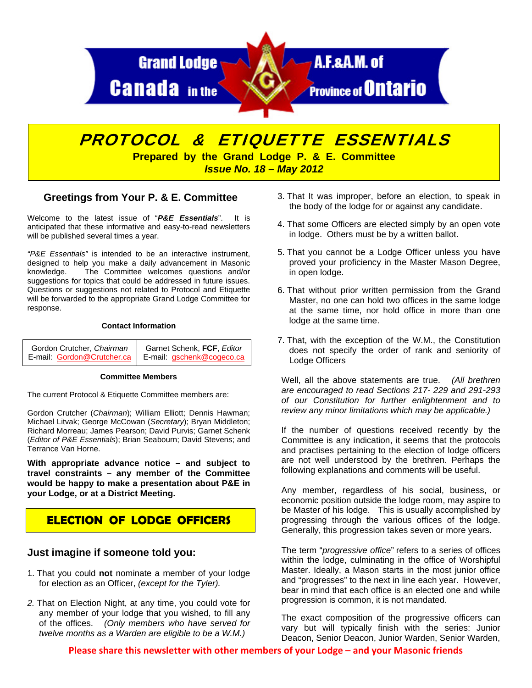

# PROTOCOL & ETIQUETTE ESSENTIALS

**Prepared by the Grand Lodge P. & E. Committee**  *Issue No. 18 – May 2012* 

## **Greetings from Your P. & E. Committee**

Welcome to the latest issue of "*P&E Essentials*". It is anticipated that these informative and easy-to-read newsletters will be published several times a year.

*"P&E Essentials"* is intended to be an interactive instrument, designed to help you make a daily advancement in Masonic knowledge. The Committee welcomes questions and/or suggestions for topics that could be addressed in future issues. Questions or suggestions not related to Protocol and Etiquette will be forwarded to the appropriate Grand Lodge Committee for response.

#### **Contact Information**

| Gordon Crutcher, Chairman | Garnet Schenk, FCF, Editor                             |
|---------------------------|--------------------------------------------------------|
|                           | E-mail: Gordon@Crutcher.ca   E-mail: gschenk@cogeco.ca |

#### **Committee Members**

The current Protocol & Etiquette Committee members are:

Gordon Crutcher (*Chairman*); William Elliott; Dennis Hawman; Michael Litvak; George McCowan (*Secretary*); Bryan Middleton; Richard Morreau; James Pearson; David Purvis; Garnet Schenk (*Editor of P&E Essentials*); Brian Seabourn; David Stevens; and Terrance Van Horne.

**With appropriate advance notice – and subject to travel constraints – any member of the Committee would be happy to make a presentation about P&E in your Lodge, or at a District Meeting.** 

# **ELECTION OF LODGE OFFICERS**

### **Just imagine if someone told you:**

- 1. That you could **not** nominate a member of your lodge for election as an Officer, *(except for the Tyler).*
- *2.* That on Election Night, at any time, you could vote for any member of your lodge that you wished, to fill any of the offices. *(Only members who have served for twelve months as a Warden are eligible to be a W.M.)*
- 3. That It was improper, before an election, to speak in the body of the lodge for or against any candidate.
- 4. That some Officers are elected simply by an open vote in lodge. Others must be by a written ballot.
- 5. That you cannot be a Lodge Officer unless you have proved your proficiency in the Master Mason Degree, in open lodge.
- 6. That without prior written permission from the Grand Master, no one can hold two offices in the same lodge at the same time, nor hold office in more than one lodge at the same time.
- 7. That, with the exception of the W.M., the Constitution does not specify the order of rank and seniority of Lodge Officers

Well, all the above statements are true. *(All brethren are encouraged to read Sections 217- 229 and 291-293 of our Constitution for further enlightenment and to review any minor limitations which may be applicable.)* 

If the number of questions received recently by the Committee is any indication, it seems that the protocols and practises pertaining to the election of lodge officers are not well understood by the brethren. Perhaps the following explanations and comments will be useful.

Any member, regardless of his social, business, or economic position outside the lodge room, may aspire to be Master of his lodge. This is usually accomplished by progressing through the various offices of the lodge. Generally, this progression takes seven or more years.

The term "*progressive office*" refers to a series of offices within the lodge, culminating in the office of Worshipful Master. Ideally, a Mason starts in the most junior office and "progresses" to the next in line each year. However, bear in mind that each office is an elected one and while progression is common, it is not mandated.

The exact composition of the progressive officers can vary but will typically finish with the series: Junior Deacon, Senior Deacon, Junior Warden, Senior Warden,

**Please share this newsletter with other members of your Lodge – and your Masonic friends**